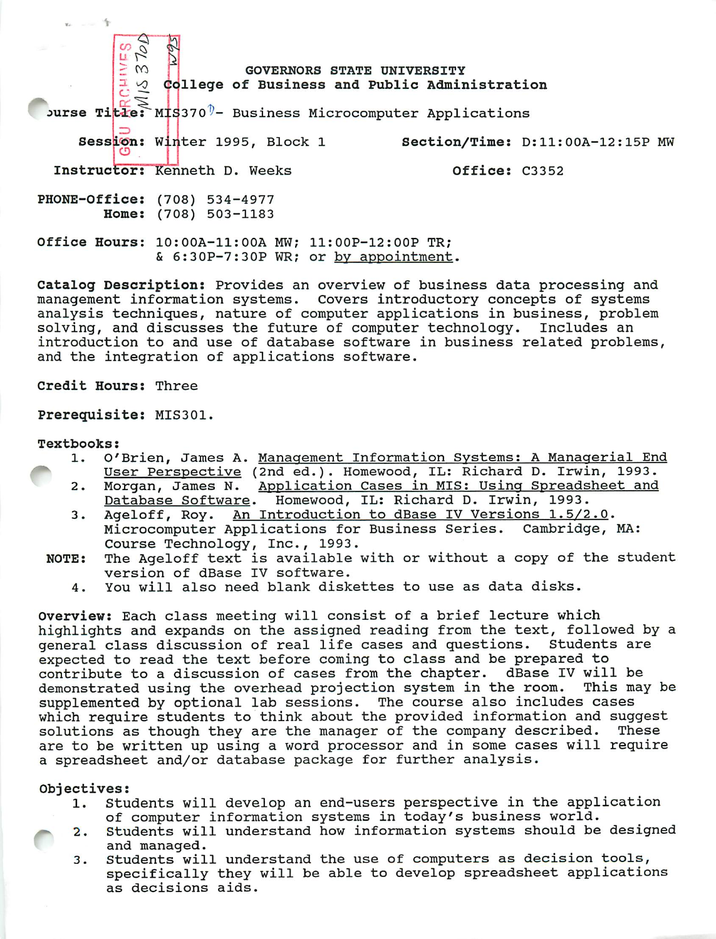burse Ti<mark>tle: MIS</mark>370<sup>0</sup>- Business Microcomputer Applications GOVERNORS STATE UNIVERSITY ollege of Business and Public Administration Session: Winter 1995, Block 1 Mection/Time: D:11:00A-12:15P MW Instructor: Kenneth D. Weeks **East Country Constructor:** C3352 PHONE-Office: (708) 534-4977 Home: (708) 503-1183 Office Hours: 10:00A-11:00A MW; 11:OOP-12:OOP TR; & 6:30P-7:30P WR; or by appointment.

Catalog Description: Provides an overview of business data processing and management information systems. Covers introductory concepts of systems analysis techniques, nature of computer applications in business, problem solving, and discusses the future of computer technology. Includes an introduction to and use of database software in business related problems, and the integration of applications software.

Credit Hours: Three

Prerequisite: MIS301.

#### Textbooks:

- 1. O'Brien, James A. <u>Management Information Systems: A Managerial End</u><br>User Perspective (2nd ed.). Homewood, IL: Richard D. Irwin, 1993.
	- 2. Morgan, James N. Application Cases in MIS: Using Spreadsheet and Database Software. Homewood, IL: Richard D. Irwin, 1993.
	- 3. Ageloff, Roy. An Introduction to dBase IV Versions 1.5/2.0. Microcomputer Applications for Business Series. Cambridge, MA: Course Technology, Inc., 1993.
	- NOTE: The Ageloff text is available with or without a copy of the student version of dBase IV software.
		- 4. You will also need blank diskettes to use as data disks.

Overview: Each class meeting will consist of a brief lecture which highlights and expands on the assigned reading from the text, followed by a general class discussion of real life cases and questions. Students are expected to read the text before coming to class and be prepared to contribute to a discussion of cases from the chapter. dBase IV will be demonstrated using the overhead projection system in the room. This may be supplemented by optional lab sessions. The course also includes cases which require students to think about the provided information and suggest solutions as though they are the manager of the company described. These are to be written up using a word processor and in some cases will require a spreadsheet and/or database package for further analysis.

### Objectives:

- 1. Students will develop an end-users perspective in the application of computer information systems in today's business world.
- 2. Students will understand how information systems should be designed and managed.
- 3. Students will understand the use of computers as decision tools, specifically they will be able to develop spreadsheet applications as decisions aids.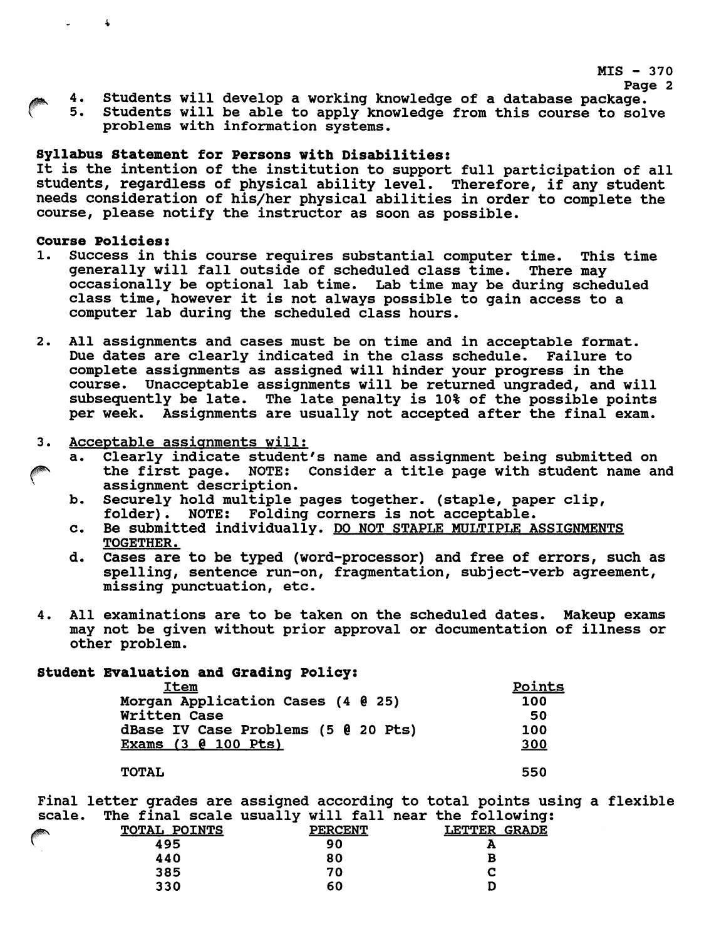$MIS - 370$ 

- - 4. Students will develop a working knowledge of a database package.<br>5. Students will be able to apply knowledge from this course to sol Students will be able to apply knowledge from this course to solve problems with information systems.

### Syllabus Statement for Persons with Disabilities:

It is the intention of the institution to support full participation of all students, regardless of physical ability level. Therefore, if any student needs consideration of his/her physical abilities in order to complete the course, please notify the instructor as soon as possible.

# Course Policies:<br>1. Success in t

 $\Delta$ 

- Success in this course requires substantial computer time. This time generally will fall outside of scheduled class time. There may occasionally be optional lab time. Lab time may be during scheduled class time, however it is not always possible to gain access to a computer lab during the scheduled class hours.
- 2. All assignments and cases must be on time and in acceptable format. Due dates are clearly indicated in the class schedule. Failure to complete assignments as assigned will hinder your progress in the course. Unacceptable assignments will be returned ungraded, and will subsequently be late. The late penalty is 10% of the possible points per week. Assignments are usually not accepted after the final exam.
- 3. Acceptable assignments will:
	- a. Clearly indicate student's name and assignment being submitted on the first page. NOTE: Consider a title page with student name and assignment description.
		- b. Securely hold multiple pages together, (staple, paper clip, folder). NOTE: Folding corners is not acceptable.
		- c. Be submitted individually. DO NOT STAPLE MULTIPLE ASSIGNMENTS TOGETHER.
		- d. Cases are to be typed (word-processor) and free of errors, such as spelling, sentence run-on, fragmentation, subject-verb agreement, missing punctuation, etc.
- 4. All examinations are to be taken on the scheduled dates. Makeup exams may not be given without prior approval or documentation of illness or other problem.

## Student Evaluation and Grading Policy:

| <b>Item</b>                         | Points |
|-------------------------------------|--------|
| Morgan Application Cases (4 0 25)   | 100    |
| Written Case                        | 50     |
| dBase IV Case Problems (5 @ 20 Pts) | 100    |
| <b>Exams (3 @ 100 Pts)</b>          | 300    |
|                                     |        |
| <b>TOTAL</b>                        | 550    |

Final letter grades are assigned according to total points using a flexible scale. The final scale usually will fall near the following:

|            |                     | $\bullet$      | -                      |
|------------|---------------------|----------------|------------------------|
| $\sqrt{2}$ | <b>TOTAL POINTS</b> | <b>PERCENT</b> | <b>GRADE</b><br>LETTER |
|            | 495                 | 90             | æ                      |
|            | 440                 | 80             | в                      |
|            | 385                 | 70             |                        |
|            | 330                 | 60             |                        |
|            |                     |                |                        |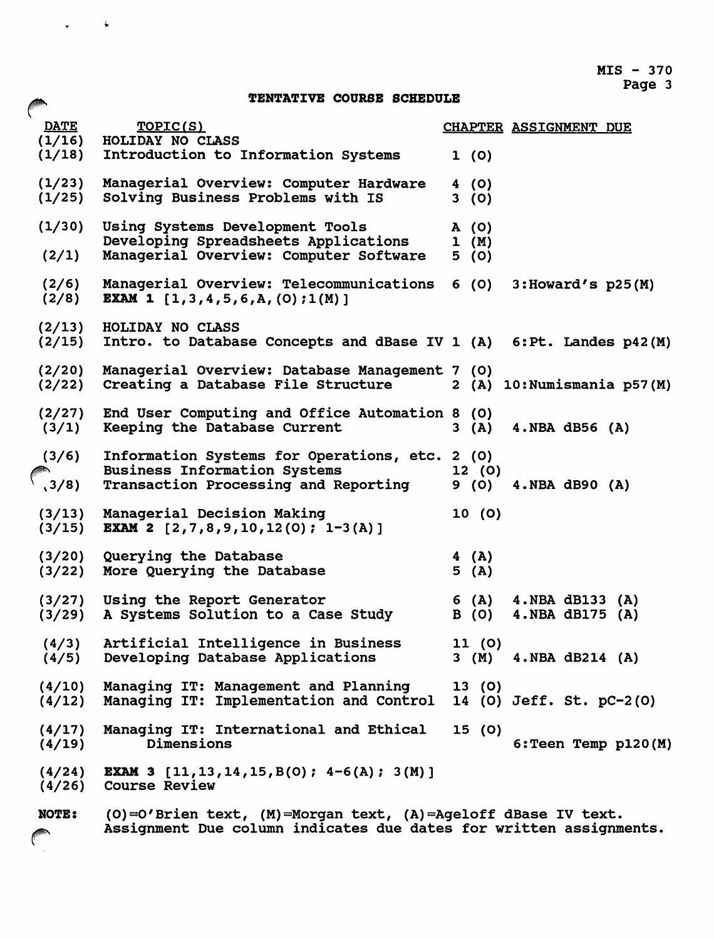$MIS - 370$ Page 3

## TENTATIVE COURSE SCHEDULE

 $\omega_{\rm{max}}=4$ 

| <b>DATE</b>               | TOPIC(S)<br>(1/16) HOLIDAY NO CLASS                                                                                                  | <b>CHAPTER ASSIGNMENT DUE</b>                     |
|---------------------------|--------------------------------------------------------------------------------------------------------------------------------------|---------------------------------------------------|
|                           | (1/18) Introduction to Information Systems                                                                                           | 1(0)                                              |
| (1/23)<br>(1/25)          | Managerial Overview: Computer Hardware<br>Solving Business Problems with IS                                                          | 4(0)<br>3(0)                                      |
| (1/30)                    | Using Systems Development Tools<br>Developing Spreadsheets Applications                                                              | A(0)<br>1 (M)                                     |
| (2/1)                     | Managerial Overview: Computer Software                                                                                               | 5(0)                                              |
| (2/6)<br>(2/8)            | Managerial Overview: Telecommunications<br><b>EXAM 1</b> $[1,3,4,5,6,A,(0);1(M)]$                                                    | 6 (O)<br>$3:$ Howard's $p25(M)$                   |
| (2/13)<br>(2/15)          | HOLIDAY NO CLASS<br>Intro. to Database Concepts and dBase IV 1 (A) 6: Pt. Landes p42 (M)                                             |                                                   |
| (2/20)<br>(2/22)          | Managerial Overview: Database Management 7 (0)<br>Creating a Database File Structure                                                 | 2 (A) 10: Numismania p57(M)                       |
| (2/27)<br>(3/1)           | End User Computing and Office Automation 8 (0)<br>Keeping the Database Current                                                       | $4. NBA$ dB56 $(A)$<br>3(A)                       |
| (3/6)<br>$\binom{1}{3/8}$ | Information Systems for Operations, etc. 2 (0)<br><b>Business Information Systems</b><br><b>Transaction Processing and Reporting</b> | 12(0)<br>$4. NBA$ dB90 $(A)$<br>9 (0)             |
| (3/13)<br>(3/15)          | Managerial Decision Making<br><b>EXAM 2</b> $[2,7,8,9,10,12(0); 1-3(A)]$                                                             | 10(0)                                             |
| (3/20)<br>(3/22)          | Querying the Database<br>More Querying the Database                                                                                  | 4(A)<br>5(A)                                      |
| (3/29)                    | (3/27) Using the Report Generator<br>A Systems Solution to a Case Study                                                              | 6 (A)<br>4.NBA dB133 (A)<br>B (0) 4.NBA dB175 (A) |
| (4/5)                     | (4/3) Artificial Intelligence in Business<br>Developing Database Applications                                                        | 11 (0)<br>3 (M) 4. NBA dB214 (A)                  |
| (4/10)                    | Managing IT: Management and Planning<br>(4/12) Managing IT: Implementation and Control                                               | 13(0)<br>14 (0) Jeff. St. pC-2(0)                 |
| (4/17)<br>(4/19)          | Managing IT: International and Ethical<br>Dimensions                                                                                 | 15(0)<br>$6:$ Teen Temp $p120(M)$                 |
| (4/24)<br>(4/26)          | <b>EXAM 3</b> [11, 13, 14, 15, B(0); $4-6(A)$ ; 3(M)]<br><b>Course Review</b>                                                        |                                                   |
| <b>NOTE:</b>              | (0)=0'Brien text, (M)=Morgan text, (A)=Ageloff dBase IV text.<br>Assignment Due column indicates due dates for written assignments.  |                                                   |